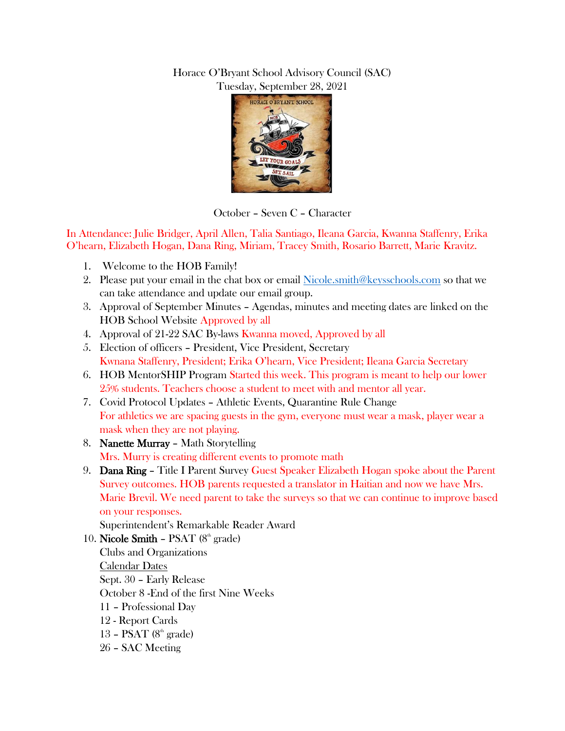## Horace O'Bryant School Advisory Council (SAC) Tuesday, September 28, 2021



October – Seven C – Character

In Attendance: Julie Bridger, April Allen, Talia Santiago, Ileana Garcia, Kwanna Staffenry, Erika O'hearn, Elizabeth Hogan, Dana Ring, Miriam, Tracey Smith, Rosario Barrett, Marie Kravitz.

- 1. Welcome to the HOB Family!
- 2. Please put your email in the chat box or email [Nicole.smith@keysschools.com](mailto:Nicole.smith@keysschools.com) so that we can take attendance and update our email group.
- 3. Approval of September Minutes Agendas, minutes and meeting dates are linked on the HOB School Website Approved by all
- 4. Approval of 21-22 SAC By-laws Kwanna moved, Approved by all
- 5. Election of officers President, Vice President, Secretary Kwnana Staffenry, President; Erika O'hearn, Vice President; Ileana Garcia Secretary
- 6. HOB MentorSHIP Program Started this week. This program is meant to help our lower 25% students. Teachers choose a student to meet with and mentor all year.
- 7. Covid Protocol Updates Athletic Events, Quarantine Rule Change For athletics we are spacing guests in the gym, everyone must wear a mask, player wear a mask when they are not playing.
- 8. Nanette Murray Math Storytelling Mrs. Murry is creating different events to promote math
- 9. **Dana Ring –** Title I Parent Survey Guest Speaker Elizabeth Hogan spoke about the Parent Survey outcomes. HOB parents requested a translator in Haitian and now we have Mrs. Marie Brevil. We need parent to take the surveys so that we can continue to improve based on your responses.

Superintendent's Remarkable Reader Award

10. Nicole Smith – PSAT  $(8<sup>th</sup> \text{ grade})$ Clubs and Organizations Calendar Dates Sept. 30 – Early Release October 8 -End of the first Nine Weeks 11 – Professional Day 12 - Report Cards 13 – PSAT  $(8<sup>th</sup> \text{ grade})$ 26 – SAC Meeting